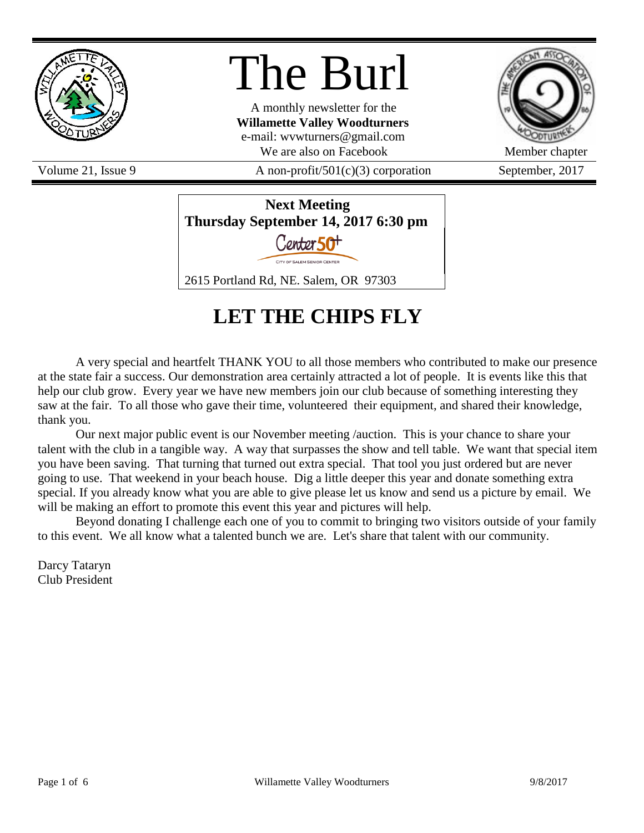

# The Burl

A monthly newsletter for the **Willamette Valley Woodturners** e-mail: wvwturners@gmail.com We are also on Facebook Member chapter

Volume 21, Issue 9  $\overline{A}$  non-profit/501(c)(3) corporation September, 2017





# **LET THE CHIPS FLY**

A very special and heartfelt THANK YOU to all those members who contributed to make our presence at the state fair a success. Our demonstration area certainly attracted a lot of people. It is events like this that help our club grow. Every year we have new members join our club because of something interesting they saw at the fair. To all those who gave their time, volunteered their equipment, and shared their knowledge, thank you.

Our next major public event is our November meeting /auction. This is your chance to share your talent with the club in a tangible way. A way that surpasses the show and tell table. We want that special item you have been saving. That turning that turned out extra special. That tool you just ordered but are never going to use. That weekend in your beach house. Dig a little deeper this year and donate something extra special. If you already know what you are able to give please let us know and send us a picture by email. We will be making an effort to promote this event this year and pictures will help.

Beyond donating I challenge each one of you to commit to bringing two visitors outside of your family to this event. We all know what a talented bunch we are. Let's share that talent with our community.

Darcy Tataryn Club President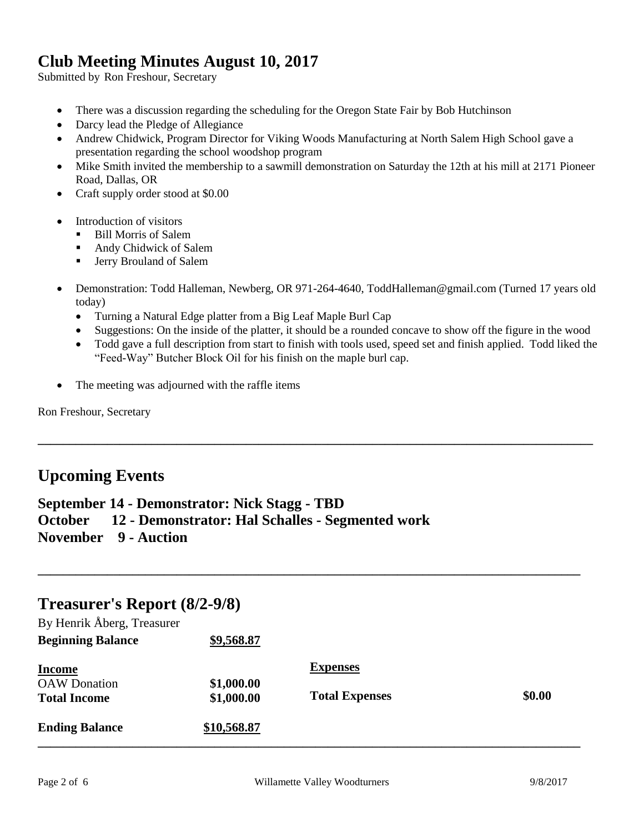### **Club Meeting Minutes August 10, 2017**

Submitted by Ron Freshour, Secretary

- There was a discussion regarding the scheduling for the Oregon State Fair by Bob Hutchinson
- Darcy lead the Pledge of Allegiance
- Andrew Chidwick, Program Director for Viking Woods Manufacturing at North Salem High School gave a presentation regarding the school woodshop program
- Mike Smith invited the membership to a sawmill demonstration on Saturday the 12th at his mill at 2171 Pioneer Road, Dallas, OR
- Craft supply order stood at \$0.00
- Introduction of visitors
	- Bill Morris of Salem
	- Andy Chidwick of Salem
	- **Fig. 3** Jerry Brouland of Salem
- Demonstration: Todd Halleman, Newberg, OR 971-264-4640, ToddHalleman@gmail.com (Turned 17 years old today)
	- Turning a Natural Edge platter from a Big Leaf Maple Burl Cap
	- Suggestions: On the inside of the platter, it should be a rounded concave to show off the figure in the wood
	- Todd gave a full description from start to finish with tools used, speed set and finish applied. Todd liked the "Feed-Way" Butcher Block Oil for his finish on the maple burl cap.

**\_\_\_\_\_\_\_\_\_\_\_\_\_\_\_\_\_\_\_\_\_\_\_\_\_\_\_\_\_\_\_\_\_\_\_\_\_\_\_\_\_\_\_\_\_\_\_\_\_\_\_\_\_\_\_\_\_\_\_\_\_\_\_\_\_\_\_\_\_\_\_\_\_\_\_\_\_\_\_\_\_\_\_\_\_\_\_\_**

The meeting was adjourned with the raffle items

Ron Freshour, Secretary

#### **Upcoming Events**

**September 14 - Demonstrator: Nick Stagg - TBD October 12 - Demonstrator: Hal Schalles - Segmented work**

**November 9 - Auction**

#### **Treasurer's Report (8/2-9/8)**

| <b>Ending Balance</b>                                       | \$10,568.87              |                                          |        |
|-------------------------------------------------------------|--------------------------|------------------------------------------|--------|
| <b>Income</b><br><b>OAW</b> Donation<br><b>Total Income</b> | \$1,000.00<br>\$1,000.00 | <b>Expenses</b><br><b>Total Expenses</b> | \$0.00 |
| By Henrik Åberg, Treasurer<br><b>Beginning Balance</b>      | \$9,568.87               |                                          |        |

**\_\_\_\_\_\_\_\_\_\_\_\_\_\_\_\_\_\_\_\_\_\_\_\_\_\_\_\_\_\_\_\_\_\_\_\_\_\_\_\_\_\_\_\_\_\_\_\_\_\_\_\_\_\_\_\_\_\_\_\_\_\_\_\_\_\_\_\_\_\_\_\_\_\_\_\_\_\_\_\_\_\_\_\_\_\_**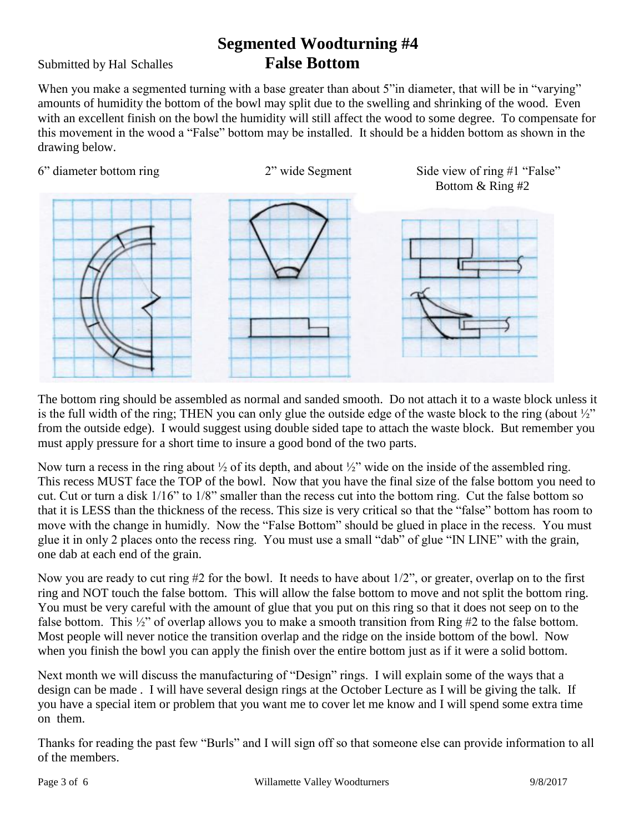## **Segmented Woodturning #4** Submitted by Hal Schalles **False Bottom**

When you make a segmented turning with a base greater than about 5" in diameter, that will be in "varying" amounts of humidity the bottom of the bowl may split due to the swelling and shrinking of the wood. Even with an excellent finish on the bowl the humidity will still affect the wood to some degree. To compensate for this movement in the wood a "False" bottom may be installed. It should be a hidden bottom as shown in the drawing below.

6" diameter bottom ring 2" wide Segment Side view of ring #1 "False"



Bottom & Ring #2



The bottom ring should be assembled as normal and sanded smooth. Do not attach it to a waste block unless it is the full width of the ring; THEN you can only glue the outside edge of the waste block to the ring (about  $\frac{1}{2}$ ") from the outside edge). I would suggest using double sided tape to attach the waste block. But remember you must apply pressure for a short time to insure a good bond of the two parts.

Now turn a recess in the ring about  $\frac{1}{2}$  of its depth, and about  $\frac{1}{2}$  wide on the inside of the assembled ring. This recess MUST face the TOP of the bowl. Now that you have the final size of the false bottom you need to cut. Cut or turn a disk 1/16" to 1/8" smaller than the recess cut into the bottom ring. Cut the false bottom so that it is LESS than the thickness of the recess. This size is very critical so that the "false" bottom has room to move with the change in humidly. Now the "False Bottom" should be glued in place in the recess. You must glue it in only 2 places onto the recess ring. You must use a small "dab" of glue "IN LINE" with the grain, one dab at each end of the grain.

Now you are ready to cut ring #2 for the bowl. It needs to have about 1/2", or greater, overlap on to the first ring and NOT touch the false bottom. This will allow the false bottom to move and not split the bottom ring. You must be very careful with the amount of glue that you put on this ring so that it does not seep on to the false bottom. This ½" of overlap allows you to make a smooth transition from Ring #2 to the false bottom. Most people will never notice the transition overlap and the ridge on the inside bottom of the bowl. Now when you finish the bowl you can apply the finish over the entire bottom just as if it were a solid bottom.

Next month we will discuss the manufacturing of "Design" rings. I will explain some of the ways that a design can be made . I will have several design rings at the October Lecture as I will be giving the talk. If you have a special item or problem that you want me to cover let me know and I will spend some extra time on them.

Thanks for reading the past few "Burls" and I will sign off so that someone else can provide information to all of the members.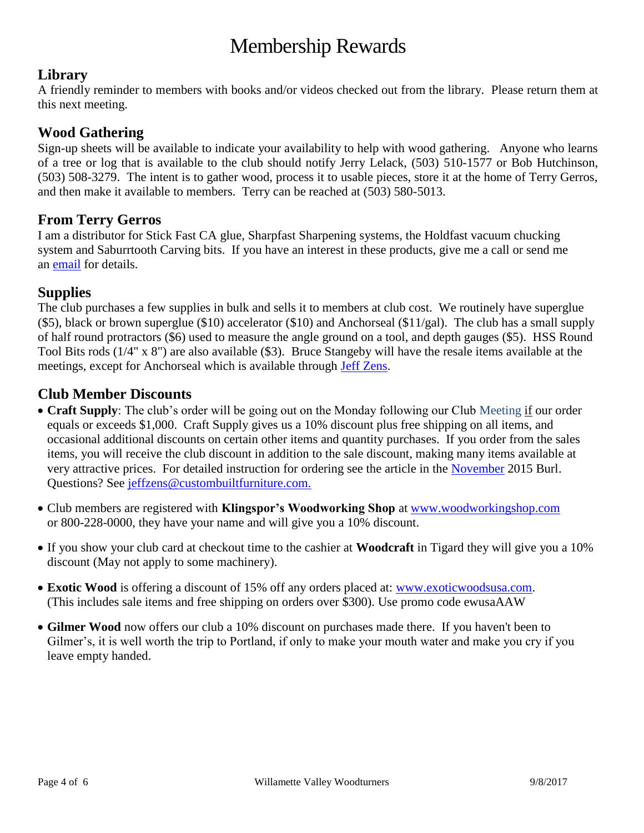# Membership Rewards

#### **Library**

A friendly reminder to members with books and/or videos checked out from the library. Please return them at this next meeting.

#### **Wood Gathering**

Sign-up sheets will be available to indicate your availability to help with wood gathering. Anyone who learns of a tree or log that is available to the club should notify Jerry Lelack, (503) 510-1577 or Bob Hutchinson, (503) 508-3279. The intent is to gather wood, process it to usable pieces, store it at the home of Terry Gerros, and then make it available to members. Terry can be reached at (503) 580-5013.

#### **From Terry Gerros**

I am a distributor for Stick Fast CA glue, Sharpfast Sharpening systems, the Holdfast vacuum chucking system and Saburrtooth Carving bits. If you have an interest in these products, give me a call or send me an [email](mailto:gerrost@yahoo.com) for details.

#### **Supplies**

The club purchases a few supplies in bulk and sells it to members at club cost. We routinely have superglue  $(\$5)$ , black or brown superglue  $(\$10)$  accelerator  $(\$10)$  and Anchorseal  $(\$11/gal)$ . The club has a small supply of half round protractors (\$6) used to measure the angle ground on a tool, and depth gauges (\$5). HSS Round Tool Bits rods (1/4" x 8") are also available (\$3). Bruce Stangeby will have the resale items available at the meetings, except for Anchorseal which is available through [Jeff Zens.](mailto:jszens@custombuiltfurniture.com)

#### **Club Member Discounts**

- **Craft Supply**: The club's order will be going out on the Monday following our Club Meeting if our order equals or exceeds \$1,000. Craft Supply gives us a 10% discount plus free shipping on all items, and occasional additional discounts on certain other items and quantity purchases. If you order from the sales items, you will receive the club discount in addition to the sale discount, making many items available at very attractive prices. For detailed instruction for ordering see the article in the [November](http://www.willamettevalleywoodturners.com/newsletters/2015_11_WVW_Newsletter.pdf) 2015 Burl. Questions? See [jeffzens@custombuiltfurniture.com.](mailto:jeffzens@custombuiltfurniture.com.)
- Club members are registered with **Klingspor's Woodworking Shop** at [www.woodworkingshop.com](http://www.woodworkingshop.com/)  or 800-228-0000, they have your name and will give you a 10% discount.
- If you show your club card at checkout time to the cashier at **Woodcraft** in Tigard they will give you a 10% discount (May not apply to some machinery).
- **Exotic Wood** is offering a discount of 15% off any orders placed at: [www.exoticwoodsusa.com.](http://www.exoticwoodsusa.com/) (This includes sale items and free shipping on orders over \$300). Use promo code ewusaAAW
- **Gilmer Wood** now offers our club a 10% discount on purchases made there. If you haven't been to Gilmer's, it is well worth the trip to Portland, if only to make your mouth water and make you cry if you leave empty handed.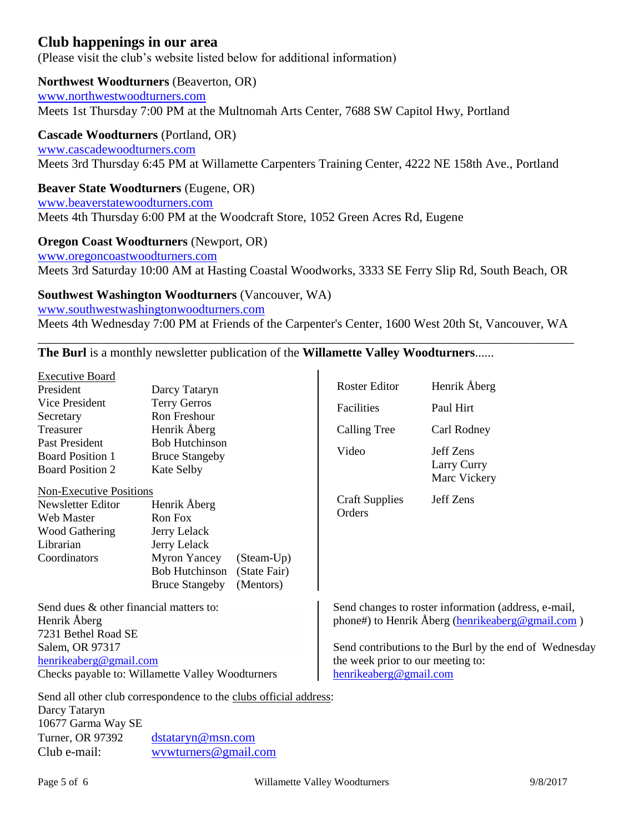#### **Club happenings in our area**

(Please visit the club's website listed below for additional information)

#### **Northwest Woodturners** (Beaverton, OR)

[www.northwestwoodturners.com](http://www.northwestwoodturners.com/) Meets 1st Thursday 7:00 PM at the Multnomah Arts Center, 7688 SW Capitol Hwy, Portland

#### **Cascade Woodturners** (Portland, OR)

[www.cascadewoodturners.com](http://www.cascadewoodturners.com/) Meets 3rd Thursday 6:45 PM at Willamette Carpenters Training Center, 4222 NE 158th Ave., Portland

#### **Beaver State Woodturners** (Eugene, OR)

[www.beaverstatewoodturners.com](http://www.beaverstatewoodturners.com/) Meets 4th Thursday 6:00 PM at the Woodcraft Store, 1052 Green Acres Rd, Eugene

#### **Oregon Coast Woodturners** (Newport, OR)

[www.oregoncoastwoodturners.com](http://www.oregoncoastwoodturners.com/) Meets 3rd Saturday 10:00 AM at Hasting Coastal Woodworks, 3333 SE Ferry Slip Rd, South Beach, OR

**Southwest Washington Woodturners** (Vancouver, WA) [www.southwestwashingtonwoodturners.com](http://www.southwestwashingtonwoodturners.com/)

Meets 4th Wednesday 7:00 PM at Friends of the Carpenter's Center, 1600 West 20th St, Vancouver, WA \_\_\_\_\_\_\_\_\_\_\_\_\_\_\_\_\_\_\_\_\_\_\_\_\_\_\_\_\_\_\_\_\_\_\_\_\_\_\_\_\_\_\_\_\_\_\_\_\_\_\_\_\_\_\_\_\_\_\_\_\_\_\_\_\_\_\_\_\_\_\_\_\_\_\_\_\_\_\_\_\_\_\_\_\_

**The Burl** is a monthly newsletter publication of the **Willamette Valley Woodturners**......

| <b>Executive Board</b>                                                                                                                     |                                            |                                                                                                          |                                                        |                             |
|--------------------------------------------------------------------------------------------------------------------------------------------|--------------------------------------------|----------------------------------------------------------------------------------------------------------|--------------------------------------------------------|-----------------------------|
| President                                                                                                                                  | Darcy Tataryn                              |                                                                                                          | <b>Roster Editor</b>                                   | Henrik Åberg                |
| Vice President<br><b>Terry Gerros</b><br>Ron Freshour<br>Secretary<br>Henrik Åberg<br>Treasurer<br><b>Bob Hutchinson</b><br>Past President |                                            |                                                                                                          | Facilities                                             | Paul Hirt                   |
|                                                                                                                                            |                                            |                                                                                                          |                                                        |                             |
|                                                                                                                                            |                                            |                                                                                                          | <b>Calling Tree</b>                                    | Carl Rodney                 |
|                                                                                                                                            |                                            |                                                                                                          | Video                                                  | Jeff Zens                   |
| <b>Board Position 1</b>                                                                                                                    | <b>Bruce Stangeby</b><br><b>Kate Selby</b> |                                                                                                          |                                                        |                             |
| <b>Board Position 2</b>                                                                                                                    |                                            |                                                                                                          |                                                        | Larry Curry<br>Marc Vickery |
| <b>Non-Executive Positions</b>                                                                                                             |                                            |                                                                                                          |                                                        |                             |
| Newsletter Editor                                                                                                                          | Henrik Åberg                               |                                                                                                          | <b>Craft Supplies</b>                                  | Jeff Zens                   |
| <b>Web Master</b>                                                                                                                          | Ron Fox                                    |                                                                                                          | Orders                                                 |                             |
| <b>Wood Gathering</b><br>Jerry Lelack                                                                                                      |                                            |                                                                                                          |                                                        |                             |
| Librarian                                                                                                                                  | Jerry Lelack                               |                                                                                                          |                                                        |                             |
| Coordinators                                                                                                                               | Myron Yancey<br>(Steam-Up)                 |                                                                                                          |                                                        |                             |
|                                                                                                                                            | <b>Bob Hutchinson</b>                      | (State Fair)                                                                                             |                                                        |                             |
|                                                                                                                                            | <b>Bruce Stangeby</b>                      | (Mentors)                                                                                                |                                                        |                             |
| Send dues & other financial matters to:                                                                                                    |                                            | Send changes to roster information (address, e-mail,<br>phone#) to Henrik Åberg (henrikeaberg@gmail.com) |                                                        |                             |
| Henrik Åberg                                                                                                                               |                                            |                                                                                                          |                                                        |                             |
| 7231 Bethel Road SE                                                                                                                        |                                            |                                                                                                          |                                                        |                             |
| Salem, OR 97317                                                                                                                            |                                            |                                                                                                          | Send contributions to the Burl by the end of Wednesday |                             |
| henrikeaberg@gmail.com                                                                                                                     |                                            |                                                                                                          | the week prior to our meeting to:                      |                             |
| Checks payable to: Willamette Valley Woodturners                                                                                           |                                            |                                                                                                          | henrikeaberg@gmail.com                                 |                             |
| Send all other club correspondence to the clubs official address:                                                                          |                                            |                                                                                                          |                                                        |                             |

Darcy Tataryn 10677 Garma Way SE Turner, OR 97392 [dstataryn@msn.com](mailto:dstataryn@msn.com) Club e-mail: [wvwturners@gmail.com](mailto:wvwturners@gmail.com)